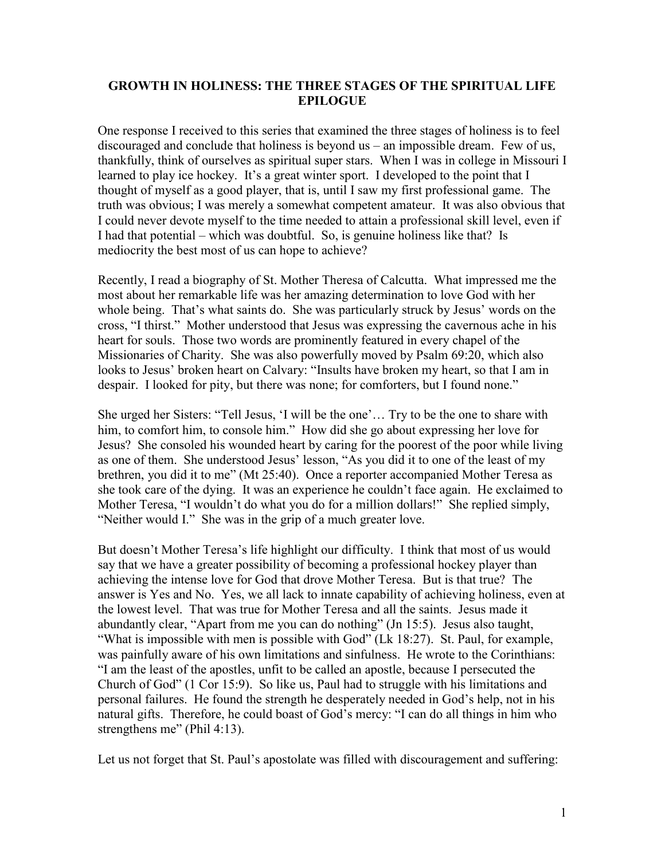## **GROWTH IN HOLINESS: THE THREE STAGES OF THE SPIRITUAL LIFE EPILOGUE**

One response I received to this series that examined the three stages of holiness is to feel discouraged and conclude that holiness is beyond us – an impossible dream. Few of us, thankfully, think of ourselves as spiritual super stars. When I was in college in Missouri I learned to play ice hockey. It's a great winter sport. I developed to the point that I thought of myself as a good player, that is, until I saw my first professional game. The truth was obvious; I was merely a somewhat competent amateur. It was also obvious that I could never devote myself to the time needed to attain a professional skill level, even if I had that potential – which was doubtful. So, is genuine holiness like that? Is mediocrity the best most of us can hope to achieve?

Recently, I read a biography of St. Mother Theresa of Calcutta. What impressed me the most about her remarkable life was her amazing determination to love God with her whole being. That's what saints do. She was particularly struck by Jesus' words on the cross, "I thirst." Mother understood that Jesus was expressing the cavernous ache in his heart for souls. Those two words are prominently featured in every chapel of the Missionaries of Charity. She was also powerfully moved by Psalm 69:20, which also looks to Jesus' broken heart on Calvary: "Insults have broken my heart, so that I am in despair. I looked for pity, but there was none; for comforters, but I found none."

She urged her Sisters: "Tell Jesus, 'I will be the one'… Try to be the one to share with him, to comfort him, to console him." How did she go about expressing her love for Jesus? She consoled his wounded heart by caring for the poorest of the poor while living as one of them. She understood Jesus' lesson, "As you did it to one of the least of my brethren, you did it to me" (Mt 25:40). Once a reporter accompanied Mother Teresa as she took care of the dying. It was an experience he couldn't face again. He exclaimed to Mother Teresa, "I wouldn't do what you do for a million dollars!" She replied simply, "Neither would I." She was in the grip of a much greater love.

But doesn't Mother Teresa's life highlight our difficulty. I think that most of us would say that we have a greater possibility of becoming a professional hockey player than achieving the intense love for God that drove Mother Teresa. But is that true? The answer is Yes and No. Yes, we all lack to innate capability of achieving holiness, even at the lowest level. That was true for Mother Teresa and all the saints. Jesus made it abundantly clear, "Apart from me you can do nothing" (Jn 15:5). Jesus also taught, "What is impossible with men is possible with God" (Lk 18:27). St. Paul, for example, was painfully aware of his own limitations and sinfulness. He wrote to the Corinthians: "I am the least of the apostles, unfit to be called an apostle, because I persecuted the Church of God" (1 Cor 15:9). So like us, Paul had to struggle with his limitations and personal failures. He found the strength he desperately needed in God's help, not in his natural gifts. Therefore, he could boast of God's mercy: "I can do all things in him who strengthens me" (Phil 4:13).

Let us not forget that St. Paul's apostolate was filled with discouragement and suffering: